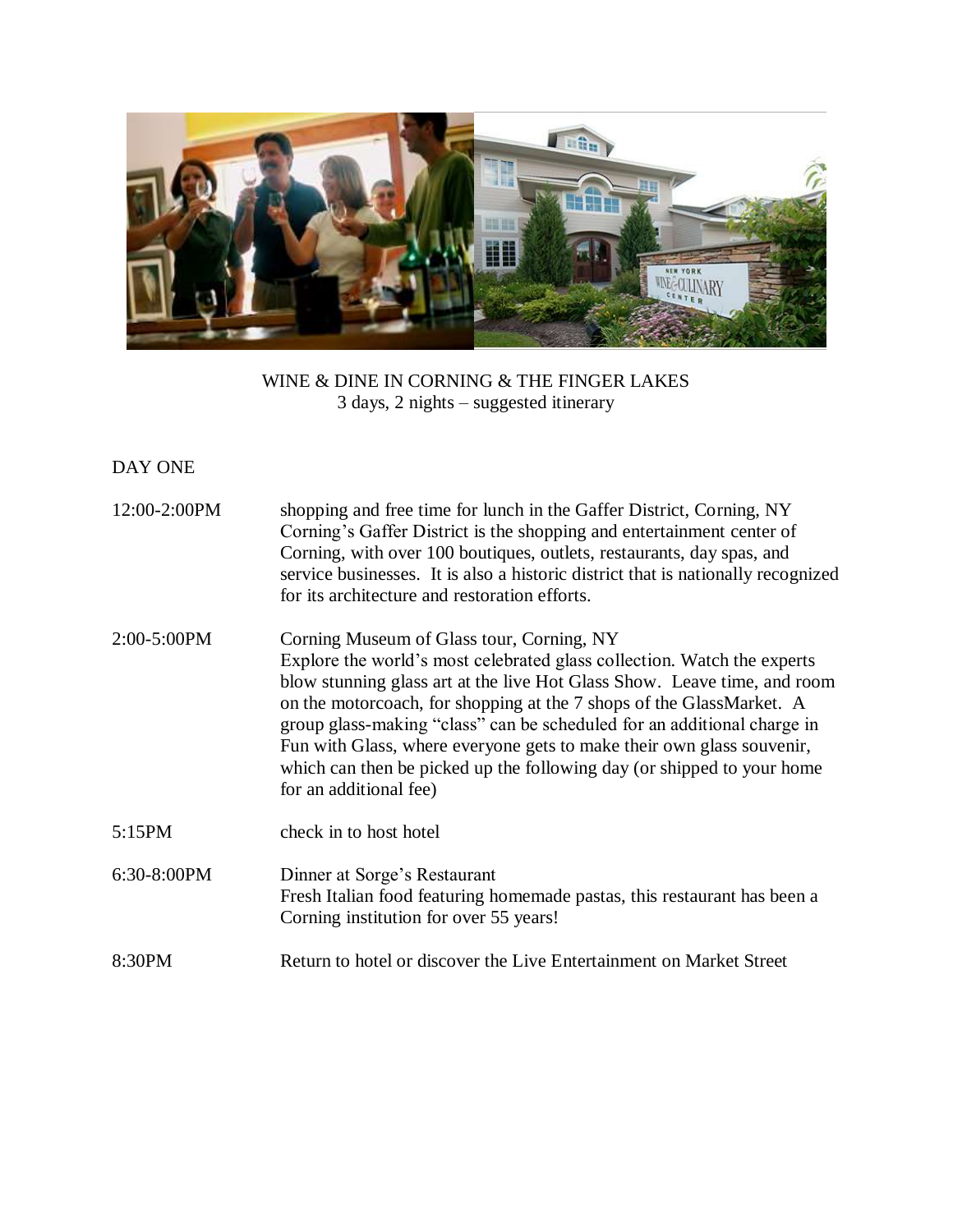

WINE & DINE IN CORNING & THE FINGER LAKES 3 days, 2 nights – suggested itinerary

## DAY ONE

| 12:00-2:00PM  | shopping and free time for lunch in the Gaffer District, Corning, NY<br>Corning's Gaffer District is the shopping and entertainment center of<br>Corning, with over 100 boutiques, outlets, restaurants, day spas, and<br>service businesses. It is also a historic district that is nationally recognized<br>for its architecture and restoration efforts.                                                                                                                                                                      |
|---------------|----------------------------------------------------------------------------------------------------------------------------------------------------------------------------------------------------------------------------------------------------------------------------------------------------------------------------------------------------------------------------------------------------------------------------------------------------------------------------------------------------------------------------------|
| $2:00-5:00PM$ | Corning Museum of Glass tour, Corning, NY<br>Explore the world's most celebrated glass collection. Watch the experts<br>blow stunning glass art at the live Hot Glass Show. Leave time, and room<br>on the motorcoach, for shopping at the 7 shops of the GlassMarket. A<br>group glass-making "class" can be scheduled for an additional charge in<br>Fun with Glass, where everyone gets to make their own glass souvenir,<br>which can then be picked up the following day (or shipped to your home<br>for an additional fee) |
| 5:15PM        | check in to host hotel                                                                                                                                                                                                                                                                                                                                                                                                                                                                                                           |
| 6:30-8:00PM   | Dinner at Sorge's Restaurant<br>Fresh Italian food featuring homemade pastas, this restaurant has been a<br>Corning institution for over 55 years!                                                                                                                                                                                                                                                                                                                                                                               |
| 8:30PM        | Return to hotel or discover the Live Entertainment on Market Street                                                                                                                                                                                                                                                                                                                                                                                                                                                              |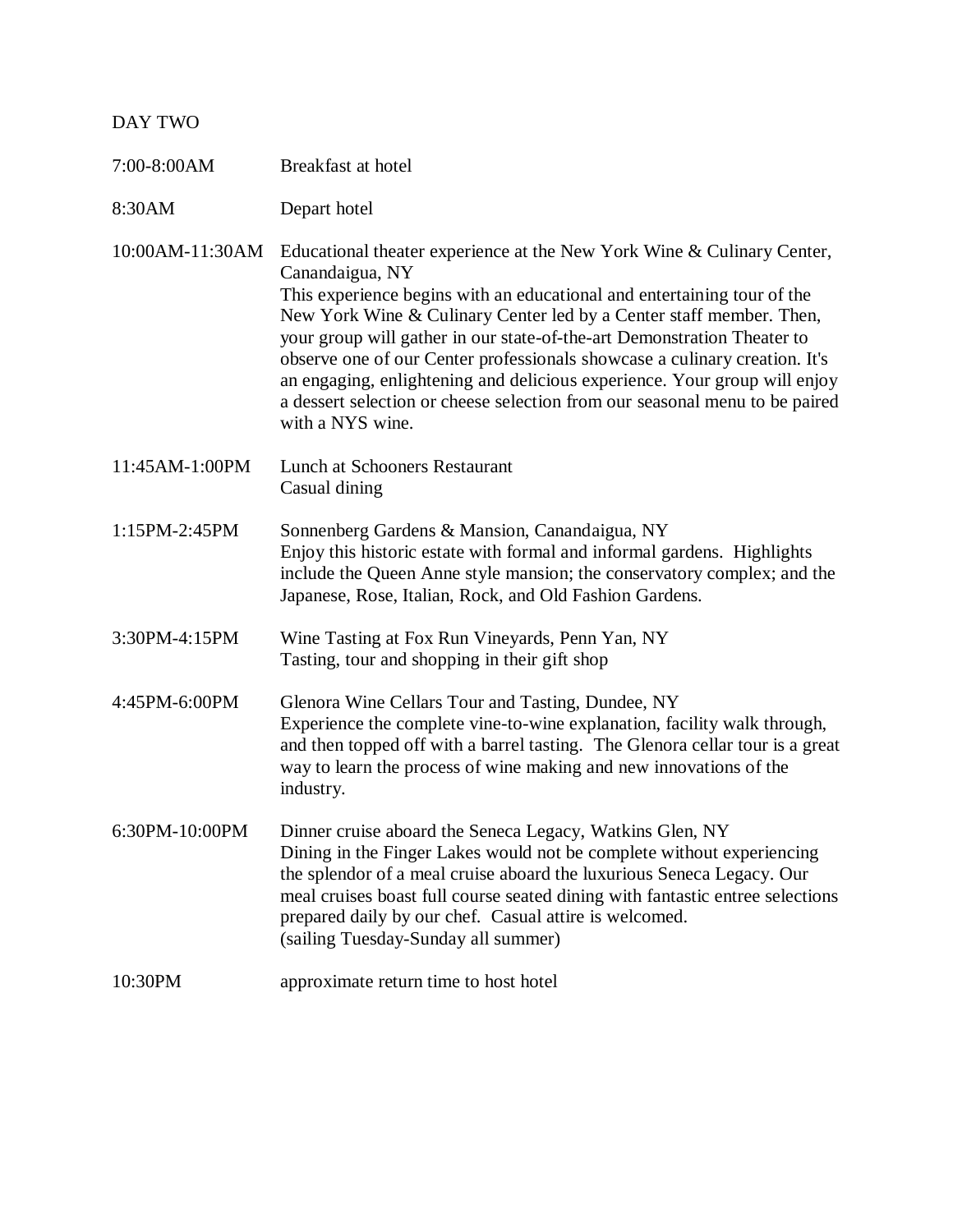| <b>DAY TWO</b>  |                                                                                                                                                                                                                                                                                                                                                                                                                                                                                                                                                                                      |
|-----------------|--------------------------------------------------------------------------------------------------------------------------------------------------------------------------------------------------------------------------------------------------------------------------------------------------------------------------------------------------------------------------------------------------------------------------------------------------------------------------------------------------------------------------------------------------------------------------------------|
| 7:00-8:00AM     | Breakfast at hotel                                                                                                                                                                                                                                                                                                                                                                                                                                                                                                                                                                   |
| 8:30AM          | Depart hotel                                                                                                                                                                                                                                                                                                                                                                                                                                                                                                                                                                         |
| 10:00AM-11:30AM | Educational theater experience at the New York Wine & Culinary Center,<br>Canandaigua, NY<br>This experience begins with an educational and entertaining tour of the<br>New York Wine & Culinary Center led by a Center staff member. Then,<br>your group will gather in our state-of-the-art Demonstration Theater to<br>observe one of our Center professionals showcase a culinary creation. It's<br>an engaging, enlightening and delicious experience. Your group will enjoy<br>a dessert selection or cheese selection from our seasonal menu to be paired<br>with a NYS wine. |
| 11:45AM-1:00PM  | Lunch at Schooners Restaurant<br>Casual dining                                                                                                                                                                                                                                                                                                                                                                                                                                                                                                                                       |
| 1:15PM-2:45PM   | Sonnenberg Gardens & Mansion, Canandaigua, NY<br>Enjoy this historic estate with formal and informal gardens. Highlights<br>include the Queen Anne style mansion; the conservatory complex; and the<br>Japanese, Rose, Italian, Rock, and Old Fashion Gardens.                                                                                                                                                                                                                                                                                                                       |
| 3:30PM-4:15PM   | Wine Tasting at Fox Run Vineyards, Penn Yan, NY<br>Tasting, tour and shopping in their gift shop                                                                                                                                                                                                                                                                                                                                                                                                                                                                                     |
| 4:45PM-6:00PM   | Glenora Wine Cellars Tour and Tasting, Dundee, NY<br>Experience the complete vine-to-wine explanation, facility walk through,<br>and then topped off with a barrel tasting. The Glenora cellar tour is a great<br>way to learn the process of wine making and new innovations of the<br>industry.                                                                                                                                                                                                                                                                                    |
| 6:30PM-10:00PM  | Dinner cruise aboard the Seneca Legacy, Watkins Glen, NY<br>Dining in the Finger Lakes would not be complete without experiencing<br>the splendor of a meal cruise aboard the luxurious Seneca Legacy. Our<br>meal cruises boast full course seated dining with fantastic entree selections<br>prepared daily by our chef. Casual attire is welcomed.<br>(sailing Tuesday-Sunday all summer)                                                                                                                                                                                         |
| 10:30PM         | approximate return time to host hotel                                                                                                                                                                                                                                                                                                                                                                                                                                                                                                                                                |